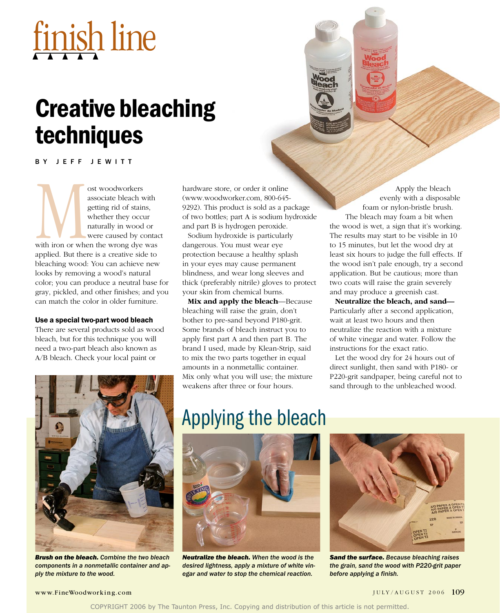# finish line

## Creative bleaching techniques

BY JEFF JEWITT

ost woodworkers<br>
associate bleach w<br>
getting rid of stain<br>
whether they occur<br>
maturally in wood<br>
were caused by co<br>
with iron or when the wrong dye<br>
applied But there is a creative side associate bleach with getting rid of stains, whether they occur naturally in wood or were caused by contact with iron or when the wrong dye was applied. But there is a creative side to bleaching wood: You can achieve new looks by removing a wood's natural color; you can produce a neutral base for gray, pickled, and other finishes; and you can match the color in older furniture.

#### Use a special two-part wood bleach

There are several products sold as wood bleach, but for this technique you will need a two-part bleach also known as A/B bleach. Check your local paint or

hardware store, or order it online (www.woodworker.com, 800-645- 9292). This product is sold as a package of two bottles; part A is sodium hydroxide and part B is hydrogen peroxide.

Sodium hydroxide is particularly dangerous. You must wear eye protection because a healthy splash in your eyes may cause permanent blindness, and wear long sleeves and thick (preferably nitrile) gloves to protect your skin from chemical burns.

**Mix and apply the bleach**—Because bleaching will raise the grain, don't bother to pre-sand beyond P180-grit. Some brands of bleach instruct you to apply first part A and then part B. The brand I used, made by Klean-Strip, said to mix the two parts together in equal amounts in a nonmetallic container. Mix only what you will use; the mixture weakens after three or four hours.

Apply the bleach evenly with a disposable foam or nylon-bristle brush. The bleach may foam a bit when the wood is wet, a sign that it's working. The results may start to be visible in 10 to 15 minutes, but let the wood dry at least six hours to judge the full effects. If the wood isn't pale enough, try a second application. But be cautious; more than two coats will raise the grain severely and may produce a greenish cast.

**Neutralize the bleach, and sand—** Particularly after a second application, wait at least two hours and then neutralize the reaction with a mixture of white vinegar and water. Follow the instructions for the exact ratio.

Let the wood dry for 24 hours out of direct sunlight, then sand with P180- or P220-grit sandpaper, being careful not to sand through to the unbleached wood.



*Brush on the bleach. Combine the two bleach components in a nonmetallic container and apply the mixture to the wood.* 

### Applying the bleach



*Neutralize the bleach. When the wood is the desired lightness, apply a mixture of white vinegar and water to stop the chemical reaction.*



*Sand the surface. Because bleaching raises the grain, sand the wood with P220-grit paper before applying a finish.*